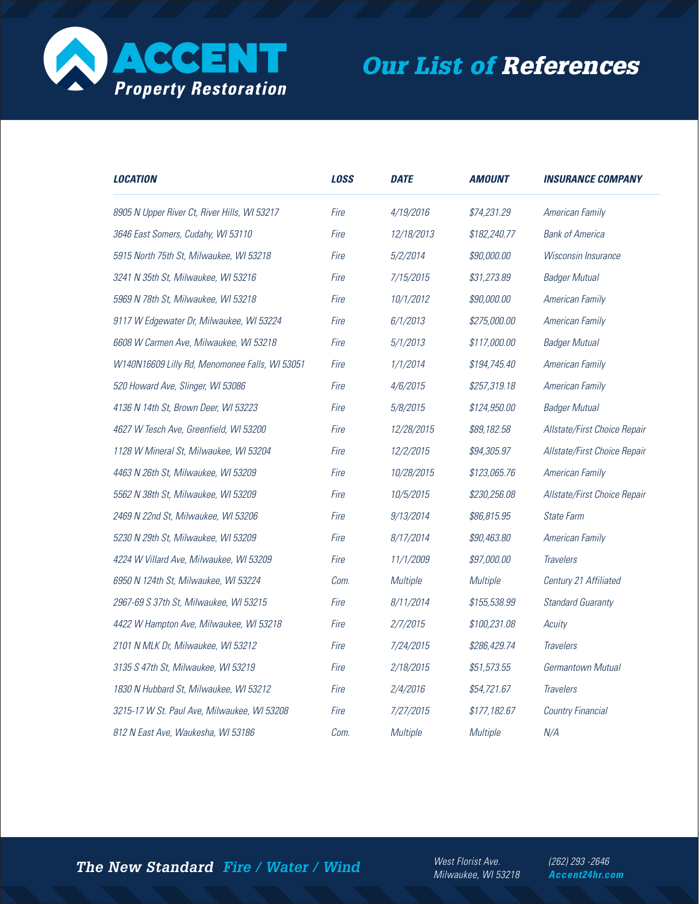

## **Our List of References**

| <i><b>LOCATION</b></i>                         | <b>LOSS</b> | <b>DATE</b> | <i><b>AMOUNT</b></i> | <i><b>INSURANCE COMPANY</b></i> |
|------------------------------------------------|-------------|-------------|----------------------|---------------------------------|
| 8905 N Upper River Ct, River Hills, WI 53217   | Fire        | 4/19/2016   | \$74,231.29          | American Family                 |
| 3646 East Somers, Cudahy, WI 53110             | Fire        | 12/18/2013  | \$182,240.77         | <b>Bank of America</b>          |
| 5915 North 75th St, Milwaukee, WI 53218        | Fire        | 5/2/2014    | \$90,000.00          | Wisconsin Insurance             |
| 3241 N 35th St, Milwaukee, WI 53216            | Fire        | 7/15/2015   | \$31,273.89          | <b>Badger Mutual</b>            |
| 5969 N 78th St, Milwaukee, WI 53218            | Fire        | 10/1/2012   | \$90,000.00          | American Family                 |
| 9117 W Edgewater Dr, Milwaukee, WI 53224       | Fire        | 6/1/2013    | \$275,000.00         | American Family                 |
| 6608 W Carmen Ave, Milwaukee, WI 53218         | Fire        | 5/1/2013    | \$117,000.00         | <b>Badger Mutual</b>            |
| W140N16609 Lilly Rd, Menomonee Falls, WI 53051 | Fire        | 1/1/2014    | \$194,745.40         | American Family                 |
| 520 Howard Ave, Slinger, WI 53086              | Fire        | 4/6/2015    | \$257,319.18         | American Family                 |
| 4136 N 14th St, Brown Deer, WI 53223           | Fire        | 5/8/2015    | \$124,950.00         | <b>Badger Mutual</b>            |
| 4627 W Tesch Ave, Greenfield, WI 53200         | Fire        | 12/28/2015  | \$89,182.58          | Allstate/First Choice Repair    |
| 1128 W Mineral St, Milwaukee, WI 53204         | Fire        | 12/2/2015   | \$94,305.97          | Allstate/First Choice Repair    |
| 4463 N 26th St, Milwaukee, WI 53209            | Fire        | 10/28/2015  | \$123,065.76         | American Family                 |
| 5562 N 38th St, Milwaukee, WI 53209            | Fire        | 10/5/2015   | \$230,256.08         | Allstate/First Choice Repair    |
| 2469 N 22nd St, Milwaukee, WI 53206            | Fire        | 9/13/2014   | \$86,815.95          | <b>State Farm</b>               |
| 5230 N 29th St, Milwaukee, WI 53209            | Fire        | 8/17/2014   | \$90,463.80          | American Family                 |
| 4224 W Villard Ave, Milwaukee, WI 53209        | Fire        | 11/1/2009   | \$97,000.00          | <b>Travelers</b>                |
| 6950 N 124th St, Milwaukee, WI 53224           | Com.        | Multiple    | <b>Multiple</b>      | Century 21 Affiliated           |
| 2967-69 S 37th St, Milwaukee, WI 53215         | Fire        | 8/11/2014   | \$155,538.99         | <b>Standard Guaranty</b>        |
| 4422 W Hampton Ave, Milwaukee, WI 53218        | Fire        | 2/7/2015    | \$100,231.08         | Acuity                          |
| 2101 N MLK Dr, Milwaukee, WI 53212             | Fire        | 7/24/2015   | \$286,429.74         | <b>Travelers</b>                |
| 3135 S 47th St, Milwaukee, WI 53219            | Fire        | 2/18/2015   | \$51,573.55          | Germantown Mutual               |
| 1830 N Hubbard St, Milwaukee, WI 53212         | Fire        | 2/4/2016    | \$54,721.67          | <b>Travelers</b>                |
| 3215-17 W St. Paul Ave, Milwaukee, WI 53208    | Fire        | 7/27/2015   | \$177,182.67         | <b>Country Financial</b>        |
| 812 N East Ave, Waukesha, WI 53186             | Com.        | Multiple    | Multiple             | N/A                             |

The New Standard Fire / Water / Wind

West Florist Ave. Milwaukee, WI 53218 (262) 293 - 2646 Accent24hr.com